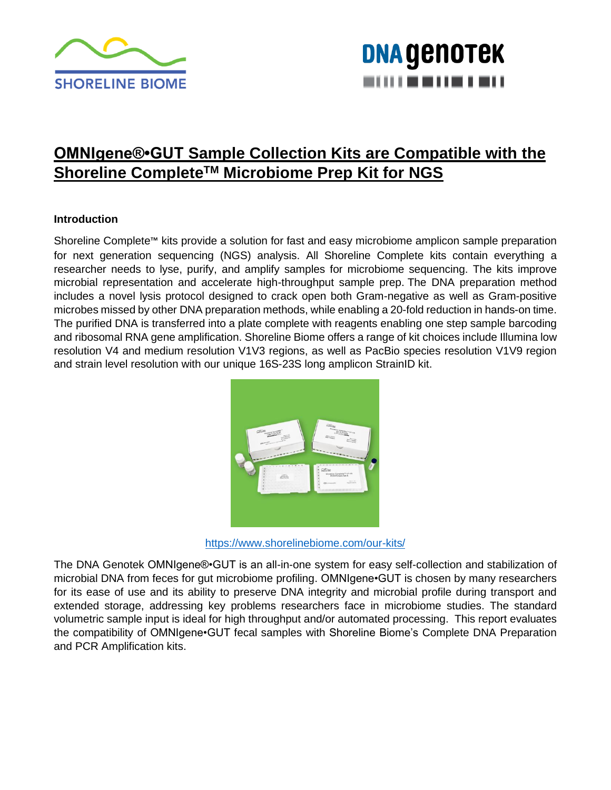

### **DNA GENOTEK** ----------

### **OMNIgene®•GUT Sample Collection Kits are Compatible with the Shoreline CompleteTM Microbiome Prep Kit for NGS**

#### **Introduction**

Shoreline Complete™ kits provide a solution for fast and easy microbiome amplicon sample preparation for next generation sequencing (NGS) analysis. All Shoreline Complete kits contain everything a researcher needs to lyse, purify, and amplify samples for microbiome sequencing. The kits improve microbial representation and accelerate high-throughput sample prep. The DNA preparation method includes a novel lysis protocol designed to crack open both Gram-negative as well as Gram-positive microbes missed by other DNA preparation methods, while enabling a 20-fold reduction in hands-on time. The purified DNA is transferred into a plate complete with reagents enabling one step sample barcoding and ribosomal RNA gene amplification. Shoreline Biome offers a range of kit choices include Illumina low resolution V4 and medium resolution V1V3 regions, as well as PacBio species resolution V1V9 region and strain level resolution with our unique 16S-23S long amplicon StrainID kit.



<https://www.shorelinebiome.com/our-kits/>

The DNA Genotek OMNIgene®•GUT is an all-in-one system for easy self-collection and stabilization of microbial DNA from feces for gut microbiome profiling. OMNIgene•GUT is chosen by many researchers for its ease of use and its ability to preserve DNA integrity and microbial profile during transport and extended storage, addressing key problems researchers face in microbiome studies. The standard volumetric sample input is ideal for high throughput and/or automated processing. This report evaluates the compatibility of OMNIgene•GUT fecal samples with Shoreline Biome's Complete DNA Preparation and PCR Amplification kits.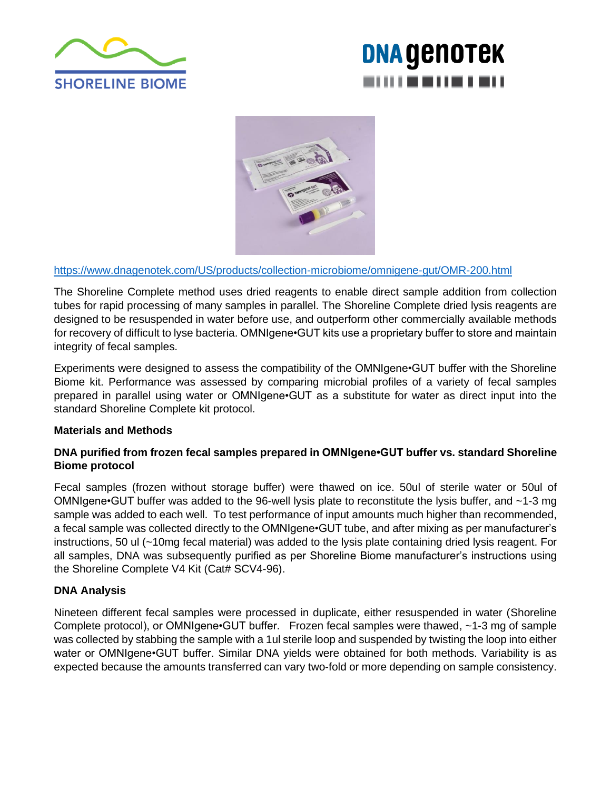

# **DNA GENOTEK** ----------



#### <https://www.dnagenotek.com/US/products/collection-microbiome/omnigene-gut/OMR-200.html>

The Shoreline Complete method uses dried reagents to enable direct sample addition from collection tubes for rapid processing of many samples in parallel. The Shoreline Complete dried lysis reagents are designed to be resuspended in water before use, and outperform other commercially available methods for recovery of difficult to lyse bacteria. OMNIgene•GUT kits use a proprietary buffer to store and maintain integrity of fecal samples.

Experiments were designed to assess the compatibility of the OMNIgene•GUT buffer with the Shoreline Biome kit. Performance was assessed by comparing microbial profiles of a variety of fecal samples prepared in parallel using water or OMNIgene•GUT as a substitute for water as direct input into the standard Shoreline Complete kit protocol.

#### **Materials and Methods**

#### **DNA purified from frozen fecal samples prepared in OMNIgene•GUT buffer vs. standard Shoreline Biome protocol**

Fecal samples (frozen without storage buffer) were thawed on ice. 50ul of sterile water or 50ul of OMNIgene•GUT buffer was added to the 96-well lysis plate to reconstitute the lysis buffer, and ~1-3 mg sample was added to each well. To test performance of input amounts much higher than recommended, a fecal sample was collected directly to the OMNIgene•GUT tube, and after mixing as per manufacturer's instructions, 50 ul (~10mg fecal material) was added to the lysis plate containing dried lysis reagent. For all samples, DNA was subsequently purified as per Shoreline Biome manufacturer's instructions using the Shoreline Complete V4 Kit (Cat# SCV4-96).

#### **DNA Analysis**

Nineteen different fecal samples were processed in duplicate, either resuspended in water (Shoreline Complete protocol), or OMNIgene•GUT buffer. Frozen fecal samples were thawed, ~1-3 mg of sample was collected by stabbing the sample with a 1ul sterile loop and suspended by twisting the loop into either water or OMNIgene•GUT buffer. Similar DNA yields were obtained for both methods. Variability is as expected because the amounts transferred can vary two-fold or more depending on sample consistency.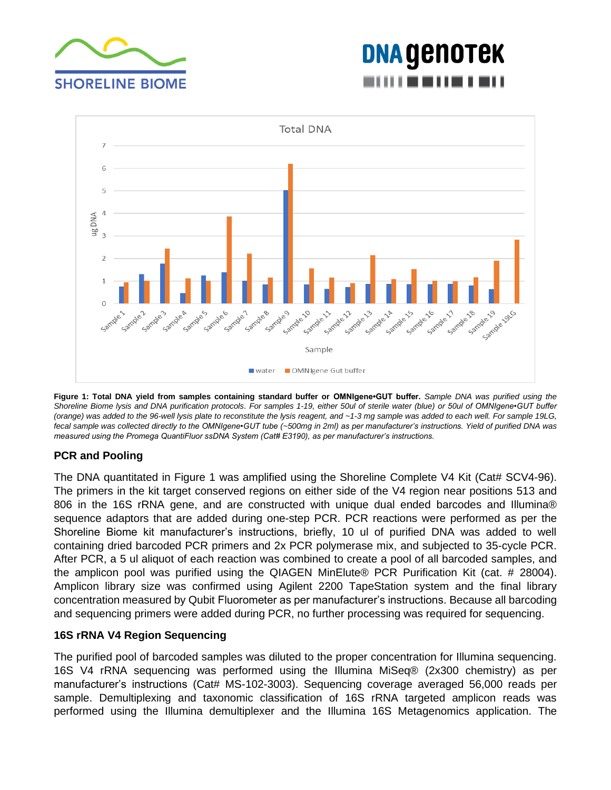

# **DNA GENOTEK** ----------



**Figure 1: Total DNA yield from samples containing standard buffer or OMNIgene•GUT buffer.** *Sample DNA was purified using the Shoreline Biome lysis and DNA purification protocols. For samples 1-19, either 50ul of sterile water (blue) or 50ul of OMNIgene•GUT buffer (orange) was added to the 96-well lysis plate to reconstitute the lysis reagent, and ~1-3 mg sample was added to each well. For sample 19LG, fecal sample was collected directly to the OMNIgene•GUT tube (~500mg in 2ml) as per manufacturer's instructions. Yield of purified DNA was measured using the Promega QuantiFluor ssDNA System (Cat# E3190), as per manufacturer's instructions.*

### **PCR and Pooling**

The DNA quantitated in Figure 1 was amplified using the Shoreline Complete V4 Kit (Cat# SCV4-96). The primers in the kit target conserved regions on either side of the V4 region near positions 513 and 806 in the 16S rRNA gene, and are constructed with unique dual ended barcodes and Illumina® sequence adaptors that are added during one-step PCR. PCR reactions were performed as per the Shoreline Biome kit manufacturer's instructions, briefly, 10 ul of purified DNA was added to well containing dried barcoded PCR primers and 2x PCR polymerase mix, and subjected to 35-cycle PCR. After PCR, a 5 ul aliquot of each reaction was combined to create a pool of all barcoded samples, and the amplicon pool was purified using the QIAGEN MinElute® PCR Purification Kit (cat. # 28004). Amplicon library size was confirmed using Agilent 2200 TapeStation system and the final library concentration measured by Qubit Fluorometer as per manufacturer's instructions. Because all barcoding and sequencing primers were added during PCR, no further processing was required for sequencing.

#### **16S rRNA V4 Region Sequencing**

The purified pool of barcoded samples was diluted to the proper concentration for Illumina sequencing. 16S V4 rRNA sequencing was performed using the Illumina MiSeq® (2x300 chemistry) as per manufacturer's instructions (Cat# MS-102-3003). Sequencing coverage averaged 56,000 reads per sample. Demultiplexing and taxonomic classification of 16S rRNA targeted amplicon reads was performed using the Illumina demultiplexer and the Illumina 16S Metagenomics application. The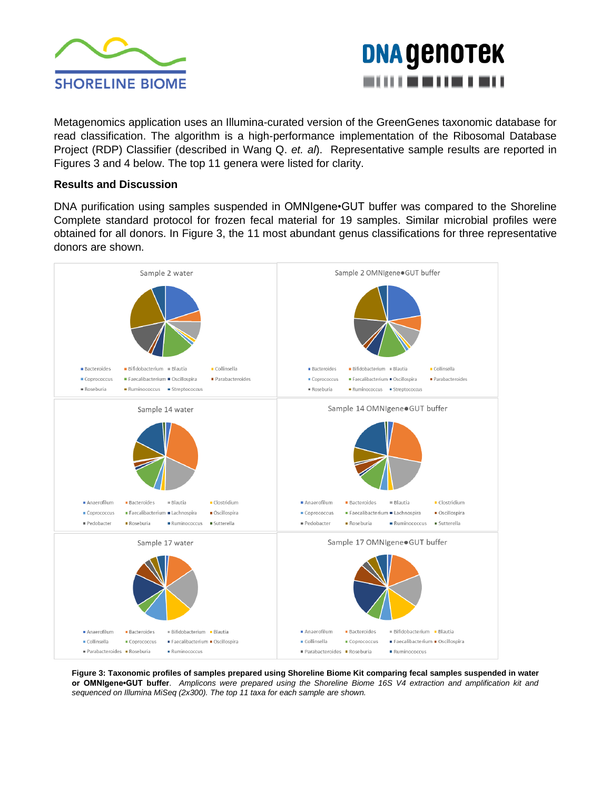



Metagenomics application uses an Illumina-curated version of the GreenGenes taxonomic database for read classification. The algorithm is a high-performance implementation of the Ribosomal Database Project (RDP) Classifier (described in Wang Q. *et. al*). Representative sample results are reported in Figures 3 and 4 below. The top 11 genera were listed for clarity.

#### **Results and Discussion**

DNA purification using samples suspended in OMNIgene•GUT buffer was compared to the Shoreline Complete standard protocol for frozen fecal material for 19 samples. Similar microbial profiles were obtained for all donors. In Figure 3, the 11 most abundant genus classifications for three representative donors are shown.



**Figure 3: Taxonomic profiles of samples prepared using Shoreline Biome Kit comparing fecal samples suspended in water or OMNIgene•GUT buffer**. *Amplicons were prepared using the Shoreline Biome 16S V4 extraction and amplification kit and sequenced on Illumina MiSeq (2x300). The top 11 taxa for each sample are shown.*